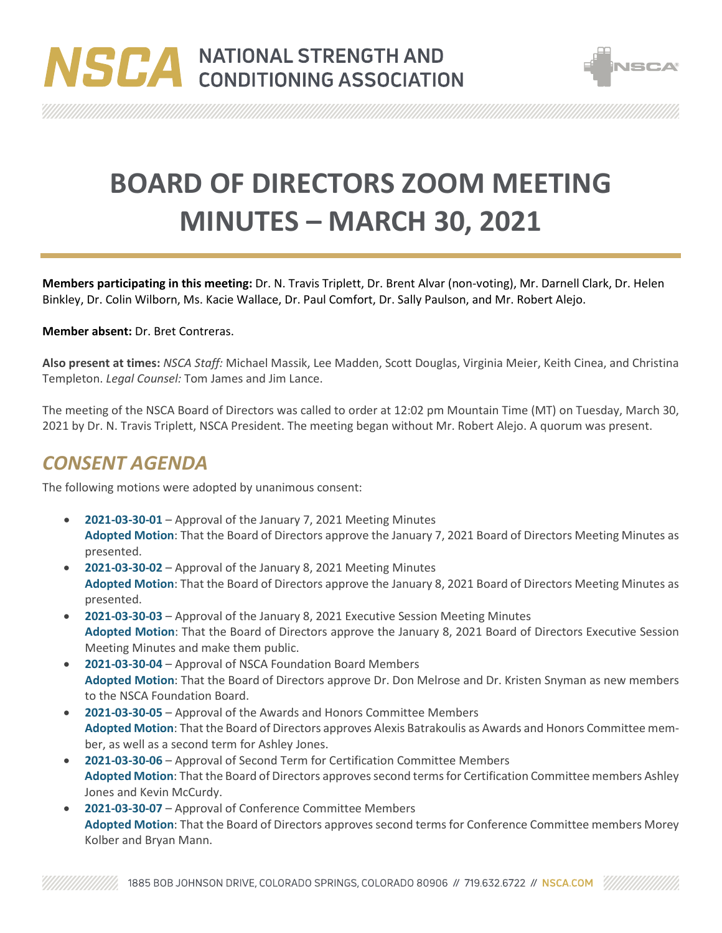



**BOARD OF DIRECTORS ZOOM MEETING MINUTES – MARCH 30, 2021**

**Members participating in this meeting:** Dr. N. Travis Triplett, Dr. Brent Alvar (non-voting), Mr. Darnell Clark, Dr. Helen Binkley, Dr. Colin Wilborn, Ms. Kacie Wallace, Dr. Paul Comfort, Dr. Sally Paulson, and Mr. Robert Alejo.

#### **Member absent:** Dr. Bret Contreras.

**Also present at times:** *NSCA Staff:* Michael Massik, Lee Madden, Scott Douglas, Virginia Meier, Keith Cinea, and Christina Templeton. *Legal Counsel:* Tom James and Jim Lance.

The meeting of the NSCA Board of Directors was called to order at 12:02 pm Mountain Time (MT) on Tuesday, March 30, 2021 by Dr. N. Travis Triplett, NSCA President. The meeting began without Mr. Robert Alejo. A quorum was present.

#### *CONSENT AGENDA*

The following motions were adopted by unanimous consent:

- **2021-03-30-01** Approval of the January 7, 2021 Meeting Minutes **Adopted Motion**: That the Board of Directors approve the January 7, 2021 Board of Directors Meeting Minutes as presented.
- **2021-03-30-02** Approval of the January 8, 2021 Meeting Minutes **Adopted Motion**: That the Board of Directors approve the January 8, 2021 Board of Directors Meeting Minutes as presented.
- **2021-03-30-03** Approval of the January 8, 2021 Executive Session Meeting Minutes **Adopted Motion**: That the Board of Directors approve the January 8, 2021 Board of Directors Executive Session Meeting Minutes and make them public.
- **2021-03-30-04** Approval of NSCA Foundation Board Members **Adopted Motion**: That the Board of Directors approve Dr. Don Melrose and Dr. Kristen Snyman as new members to the NSCA Foundation Board.
- **2021-03-30-05** Approval of the Awards and Honors Committee Members **Adopted Motion**: That the Board of Directors approves Alexis Batrakoulis as Awards and Honors Committee member, as well as a second term for Ashley Jones.
- **2021-03-30-06** Approval of Second Term for Certification Committee Members **Adopted Motion**: That the Board of Directors approves second terms for Certification Committee members Ashley Jones and Kevin McCurdy.
- **2021-03-30-07** Approval of Conference Committee Members **Adopted Motion**: That the Board of Directors approves second terms for Conference Committee members Morey Kolber and Bryan Mann.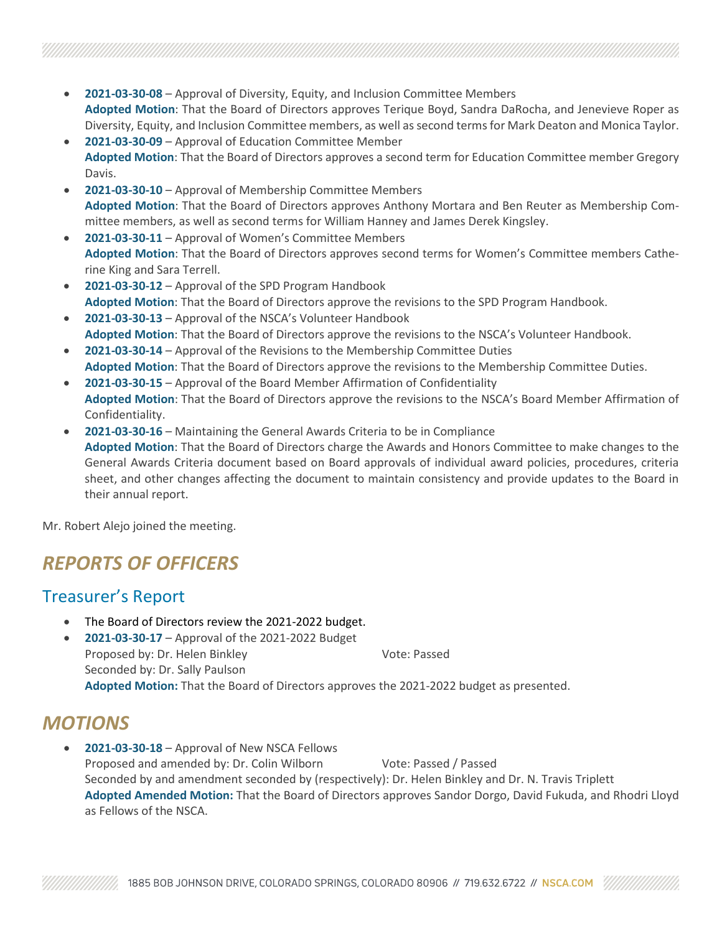- **2021-03-30-08** Approval of Diversity, Equity, and Inclusion Committee Members **Adopted Motion**: That the Board of Directors approves Terique Boyd, Sandra DaRocha, and Jenevieve Roper as Diversity, Equity, and Inclusion Committee members, as well as second terms for Mark Deaton and Monica Taylor.
- **2021-03-30-09** Approval of Education Committee Member **Adopted Motion**: That the Board of Directors approves a second term for Education Committee member Gregory Davis.
- **2021-03-30-10** Approval of Membership Committee Members **Adopted Motion**: That the Board of Directors approves Anthony Mortara and Ben Reuter as Membership Committee members, as well as second terms for William Hanney and James Derek Kingsley.
- **2021-03-30-11** Approval of Women's Committee Members **Adopted Motion**: That the Board of Directors approves second terms for Women's Committee members Catherine King and Sara Terrell.
- **2021-03-30-12** Approval of the SPD Program Handbook **Adopted Motion**: That the Board of Directors approve the revisions to the SPD Program Handbook.
- **2021-03-30-13** Approval of the NSCA's Volunteer Handbook **Adopted Motion**: That the Board of Directors approve the revisions to the NSCA's Volunteer Handbook.
- **2021-03-30-14** Approval of the Revisions to the Membership Committee Duties **Adopted Motion**: That the Board of Directors approve the revisions to the Membership Committee Duties.
- **2021-03-30-15** Approval of the Board Member Affirmation of Confidentiality **Adopted Motion**: That the Board of Directors approve the revisions to the NSCA's Board Member Affirmation of Confidentiality.
- **2021-03-30-16** Maintaining the General Awards Criteria to be in Compliance **Adopted Motion**: That the Board of Directors charge the Awards and Honors Committee to make changes to the General Awards Criteria document based on Board approvals of individual award policies, procedures, criteria sheet, and other changes affecting the document to maintain consistency and provide updates to the Board in their annual report.

Mr. Robert Alejo joined the meeting.

# *REPORTS OF OFFICERS*

#### Treasurer's Report

- The Board of Directors review the 2021-2022 budget.
- **2021-03-30-17** Approval of the 2021-2022 Budget Proposed by: Dr. Helen Binkley Vote: Passed Seconded by: Dr. Sally Paulson **Adopted Motion:** That the Board of Directors approves the 2021-2022 budget as presented.

### *MOTIONS*

• **2021-03-30-18** – Approval of New NSCA Fellows Proposed and amended by: Dr. Colin Wilborn Vote: Passed / Passed Seconded by and amendment seconded by (respectively): Dr. Helen Binkley and Dr. N. Travis Triplett **Adopted Amended Motion:** That the Board of Directors approves Sandor Dorgo, David Fukuda, and Rhodri Lloyd as Fellows of the NSCA.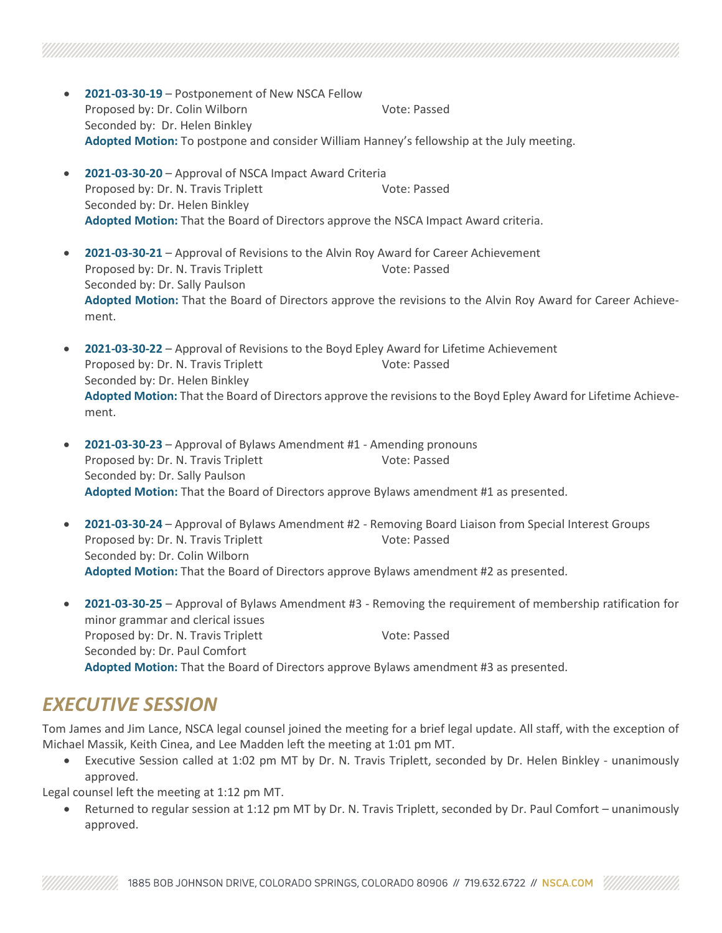- **2021-03-30-19** Postponement of New NSCA Fellow Proposed by: Dr. Colin Wilborn Vote: Passed Seconded by: Dr. Helen Binkley **Adopted Motion:** To postpone and consider William Hanney's fellowship at the July meeting.
- **2021-03-30-20** Approval of NSCA Impact Award Criteria Proposed by: Dr. N. Travis Triplett Vote: Passed Seconded by: Dr. Helen Binkley **Adopted Motion:** That the Board of Directors approve the NSCA Impact Award criteria.
- **2021-03-30-21** Approval of Revisions to the Alvin Roy Award for Career Achievement Proposed by: Dr. N. Travis Triplett Vote: Passed Seconded by: Dr. Sally Paulson **Adopted Motion:** That the Board of Directors approve the revisions to the Alvin Roy Award for Career Achievement.
- **2021-03-30-22** Approval of Revisions to the Boyd Epley Award for Lifetime Achievement Proposed by: Dr. N. Travis Triplett Vote: Passed Seconded by: Dr. Helen Binkley **Adopted Motion:** That the Board of Directors approve the revisions to the Boyd Epley Award for Lifetime Achievement.
- **2021-03-30-23** Approval of Bylaws Amendment #1 Amending pronouns Proposed by: Dr. N. Travis Triplett Vote: Passed Seconded by: Dr. Sally Paulson **Adopted Motion:** That the Board of Directors approve Bylaws amendment #1 as presented.
- **2021-03-30-24** Approval of Bylaws Amendment #2 Removing Board Liaison from Special Interest Groups Proposed by: Dr. N. Travis Triplett Vote: Passed Seconded by: Dr. Colin Wilborn **Adopted Motion:** That the Board of Directors approve Bylaws amendment #2 as presented.
- **2021-03-30-25** Approval of Bylaws Amendment #3 Removing the requirement of membership ratification for minor grammar and clerical issues Proposed by: Dr. N. Travis Triplett Vote: Passed Seconded by: Dr. Paul Comfort **Adopted Motion:** That the Board of Directors approve Bylaws amendment #3 as presented.

### *EXECUTIVE SESSION*

Tom James and Jim Lance, NSCA legal counsel joined the meeting for a brief legal update. All staff, with the exception of Michael Massik, Keith Cinea, and Lee Madden left the meeting at 1:01 pm MT.

• Executive Session called at 1:02 pm MT by Dr. N. Travis Triplett, seconded by Dr. Helen Binkley - unanimously approved.

Legal counsel left the meeting at 1:12 pm MT.

• Returned to regular session at 1:12 pm MT by Dr. N. Travis Triplett, seconded by Dr. Paul Comfort – unanimously approved.